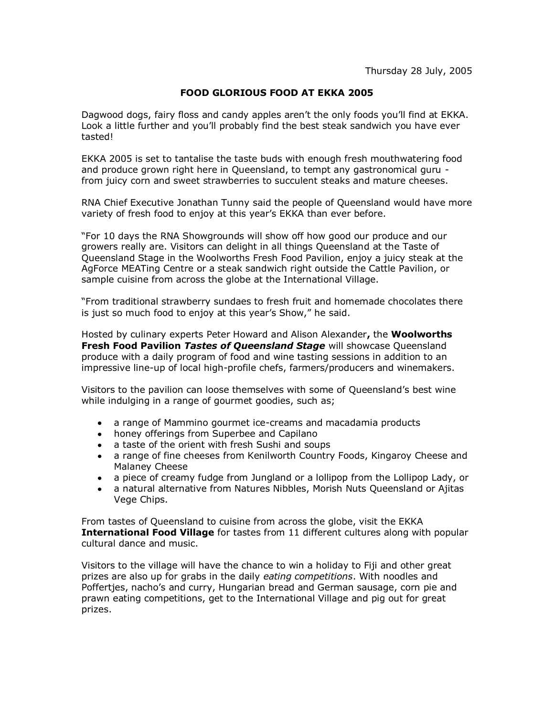## **FOOD GLORIOUS FOOD AT EKKA 2005**

Dagwood dogs, fairy floss and candy apples aren"t the only foods you"ll find at EKKA. Look a little further and you"ll probably find the best steak sandwich you have ever tasted!

EKKA 2005 is set to tantalise the taste buds with enough fresh mouthwatering food and produce grown right here in Queensland, to tempt any gastronomical guru from juicy corn and sweet strawberries to succulent steaks and mature cheeses.

RNA Chief Executive Jonathan Tunny said the people of Queensland would have more variety of fresh food to enjoy at this year's EKKA than ever before.

"For 10 days the RNA Showgrounds will show off how good our produce and our growers really are. Visitors can delight in all things Queensland at the Taste of Queensland Stage in the Woolworths Fresh Food Pavilion, enjoy a juicy steak at the AgForce MEATing Centre or a steak sandwich right outside the Cattle Pavilion, or sample cuisine from across the globe at the International Village.

"From traditional strawberry sundaes to fresh fruit and homemade chocolates there is just so much food to enjoy at this year's Show," he said.

Hosted by culinary experts Peter Howard and Alison Alexander**,** the **Woolworths Fresh Food Pavilion** *Tastes of Queensland Stage* will showcase Queensland produce with a daily program of food and wine tasting sessions in addition to an impressive line-up of local high-profile chefs, farmers/producers and winemakers.

Visitors to the pavilion can loose themselves with some of Queensland"s best wine while indulging in a range of gourmet goodies, such as;

- a range of Mammino gourmet ice-creams and macadamia products
- honey offerings from Superbee and Capilano
- a taste of the orient with fresh Sushi and soups
- a range of fine cheeses from Kenilworth Country Foods, Kingaroy Cheese and Malaney Cheese
- a piece of creamy fudge from Jungland or a lollipop from the Lollipop Lady, or
- a natural alternative from Natures Nibbles, Morish Nuts Queensland or Ajitas Vege Chips.

From tastes of Queensland to cuisine from across the globe, visit the EKKA **International Food Village** for tastes from 11 different cultures along with popular cultural dance and music.

Visitors to the village will have the chance to win a holiday to Fiji and other great prizes are also up for grabs in the daily *eating competitions*. With noodles and Poffertjes, nacho"s and curry, Hungarian bread and German sausage, corn pie and prawn eating competitions, get to the International Village and pig out for great prizes.